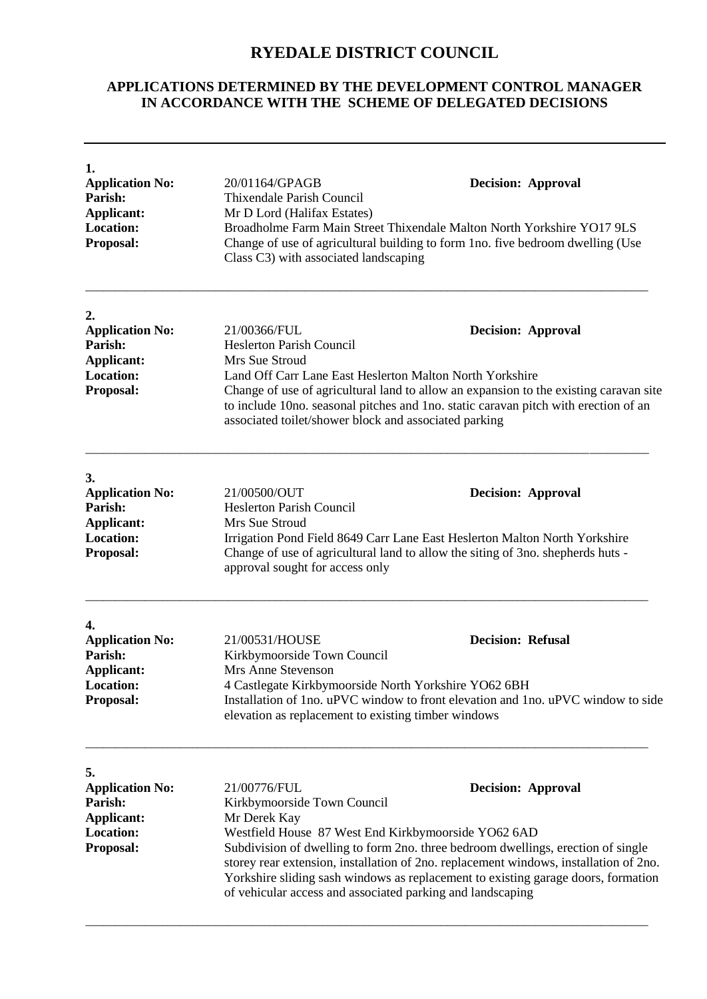## **RYEDALE DISTRICT COUNCIL**

## **APPLICATIONS DETERMINED BY THE DEVELOPMENT CONTROL MANAGER IN ACCORDANCE WITH THE SCHEME OF DELEGATED DECISIONS**

| 1.<br><b>Application No:</b><br>Parish:<br><b>Applicant:</b><br><b>Location:</b><br>Proposal:               | 20/01164/GPAGB<br>Thixendale Parish Council<br>Mr D Lord (Halifax Estates)<br>Class C3) with associated landscaping                                                                                                                                                                                | <b>Decision: Approval</b><br>Broadholme Farm Main Street Thixendale Malton North Yorkshire YO17 9LS<br>Change of use of agricultural building to form 1no. five bedroom dwelling (Use                                                                                                                                                                                                                            |  |
|-------------------------------------------------------------------------------------------------------------|----------------------------------------------------------------------------------------------------------------------------------------------------------------------------------------------------------------------------------------------------------------------------------------------------|------------------------------------------------------------------------------------------------------------------------------------------------------------------------------------------------------------------------------------------------------------------------------------------------------------------------------------------------------------------------------------------------------------------|--|
| 2.<br><b>Application No:</b><br>Parish:<br><b>Applicant:</b><br><b>Location:</b><br><b>Proposal:</b>        | 21/00366/FUL<br><b>Heslerton Parish Council</b><br>Mrs Sue Stroud<br>Land Off Carr Lane East Heslerton Malton North Yorkshire<br>associated toilet/shower block and associated parking                                                                                                             | <b>Decision: Approval</b><br>Change of use of agricultural land to allow an expansion to the existing caravan site<br>to include 10no. seasonal pitches and 1no. static caravan pitch with erection of an                                                                                                                                                                                                        |  |
| 3.<br><b>Application No:</b><br>Parish:<br><b>Applicant:</b><br><b>Location:</b><br><b>Proposal:</b>        | 21/00500/OUT<br><b>Heslerton Parish Council</b><br>Mrs Sue Stroud<br>approval sought for access only                                                                                                                                                                                               | <b>Decision: Approval</b><br>Irrigation Pond Field 8649 Carr Lane East Heslerton Malton North Yorkshire<br>Change of use of agricultural land to allow the siting of 3no. shepherds huts -                                                                                                                                                                                                                       |  |
| 4.<br><b>Application No:</b><br>Parish:<br><b>Applicant:</b><br><b>Location:</b><br><b>Proposal:</b>        | <b>Decision: Refusal</b><br>21/00531/HOUSE<br>Kirkbymoorside Town Council<br>Mrs Anne Stevenson<br>4 Castlegate Kirkbymoorside North Yorkshire YO62 6BH<br>Installation of 1no. uPVC window to front elevation and 1no. uPVC window to side<br>elevation as replacement to existing timber windows |                                                                                                                                                                                                                                                                                                                                                                                                                  |  |
| 5.<br><b>Application No:</b><br><b>Parish:</b><br><b>Applicant:</b><br><b>Location:</b><br><b>Proposal:</b> | 21/00776/FUL<br>Kirkbymoorside Town Council<br>Mr Derek Kay                                                                                                                                                                                                                                        | <b>Decision: Approval</b><br>Westfield House 87 West End Kirkbymoorside YO62 6AD<br>Subdivision of dwelling to form 2no. three bedroom dwellings, erection of single<br>storey rear extension, installation of 2no. replacement windows, installation of 2no.<br>Yorkshire sliding sash windows as replacement to existing garage doors, formation<br>of vehicular access and associated parking and landscaping |  |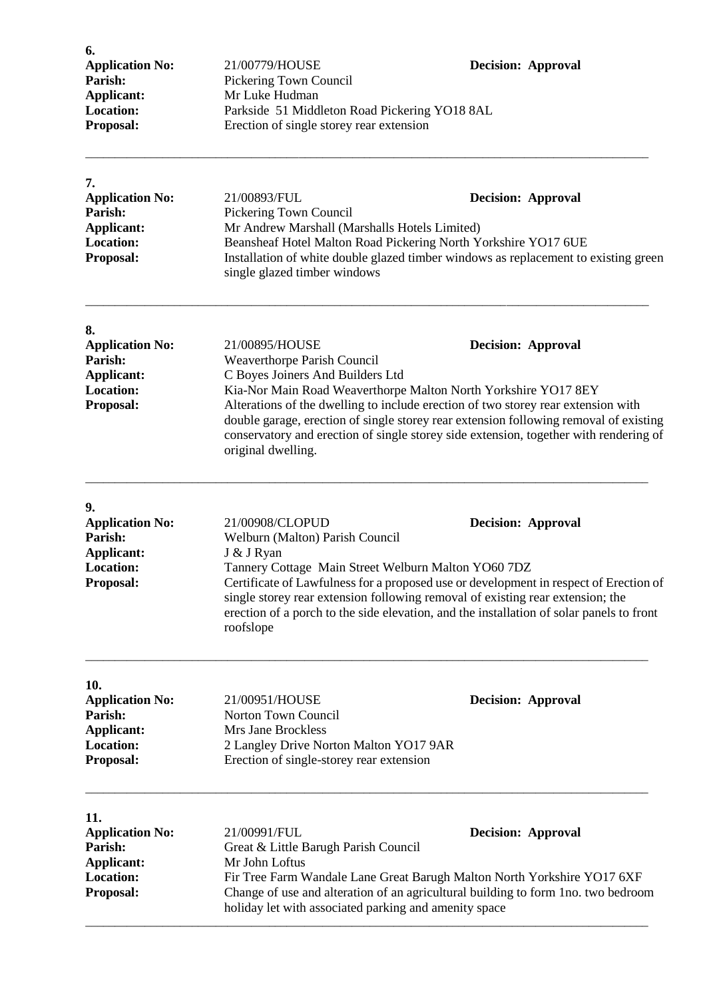| 6.<br><b>Application No:</b><br>Parish:<br><b>Applicant:</b><br><b>Location:</b><br>Proposal:  | 21/00779/HOUSE<br>Pickering Town Council<br>Mr Luke Hudman<br>Parkside 51 Middleton Road Pickering YO18 8AL<br>Erection of single storey rear extension                                                                                                                                                                                                                                                                                                                       | <b>Decision: Approval</b>                                                                                        |
|------------------------------------------------------------------------------------------------|-------------------------------------------------------------------------------------------------------------------------------------------------------------------------------------------------------------------------------------------------------------------------------------------------------------------------------------------------------------------------------------------------------------------------------------------------------------------------------|------------------------------------------------------------------------------------------------------------------|
| 7.<br><b>Application No:</b><br>Parish:<br><b>Applicant:</b><br><b>Location:</b><br>Proposal:  | 21/00893/FUL<br>Pickering Town Council<br>Mr Andrew Marshall (Marshalls Hotels Limited)<br>Beansheaf Hotel Malton Road Pickering North Yorkshire YO17 6UE<br>single glazed timber windows                                                                                                                                                                                                                                                                                     | <b>Decision: Approval</b><br>Installation of white double glazed timber windows as replacement to existing green |
| 8.<br><b>Application No:</b><br>Parish:<br><b>Applicant:</b><br><b>Location:</b><br>Proposal:  | 21/00895/HOUSE<br><b>Decision: Approval</b><br>Weaverthorpe Parish Council<br>C Boyes Joiners And Builders Ltd<br>Kia-Nor Main Road Weaverthorpe Malton North Yorkshire YO17 8EY<br>Alterations of the dwelling to include erection of two storey rear extension with<br>double garage, erection of single storey rear extension following removal of existing<br>conservatory and erection of single storey side extension, together with rendering of<br>original dwelling. |                                                                                                                  |
| 9.<br><b>Application No:</b><br>Parish:<br><b>Applicant:</b><br><b>Location:</b><br>Proposal:  | 21/00908/CLOPUD<br><b>Decision: Approval</b><br>Welburn (Malton) Parish Council<br>J & J Ryan<br>Tannery Cottage Main Street Welburn Malton YO60 7DZ<br>Certificate of Lawfulness for a proposed use or development in respect of Erection of<br>single storey rear extension following removal of existing rear extension; the<br>erection of a porch to the side elevation, and the installation of solar panels to front<br>roofslope                                      |                                                                                                                  |
| 10.<br><b>Application No:</b><br>Parish:<br>Applicant:<br><b>Location:</b><br>Proposal:        | 21/00951/HOUSE<br>Norton Town Council<br>Mrs Jane Brockless<br>2 Langley Drive Norton Malton YO17 9AR<br>Erection of single-storey rear extension                                                                                                                                                                                                                                                                                                                             | <b>Decision: Approval</b>                                                                                        |
| 11.<br><b>Application No:</b><br>Parish:<br><b>Applicant:</b><br><b>Location:</b><br>Proposal: | 21/00991/FUL<br><b>Decision: Approval</b><br>Great & Little Barugh Parish Council<br>Mr John Loftus<br>Fir Tree Farm Wandale Lane Great Barugh Malton North Yorkshire YO17 6XF<br>Change of use and alteration of an agricultural building to form 1no. two bedroom<br>holiday let with associated parking and amenity space                                                                                                                                                  |                                                                                                                  |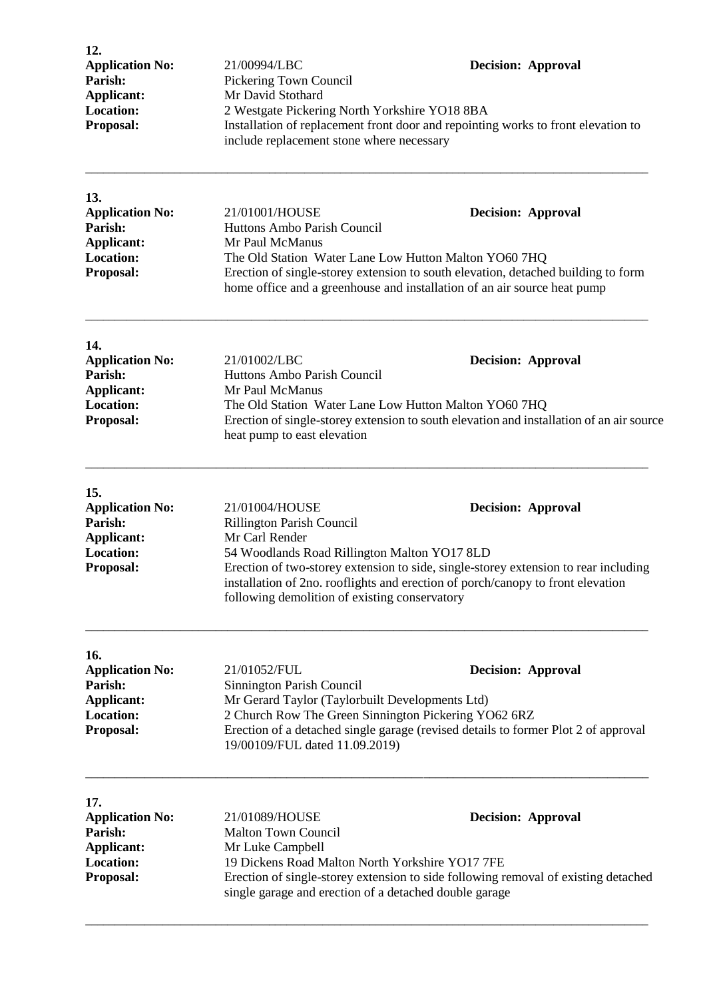| 12.                    |                                                                                                                                |                           |
|------------------------|--------------------------------------------------------------------------------------------------------------------------------|---------------------------|
| <b>Application No:</b> | 21/00994/LBC                                                                                                                   | <b>Decision: Approval</b> |
| Parish:                | Pickering Town Council                                                                                                         |                           |
| Applicant:             | Mr David Stothard                                                                                                              |                           |
| <b>Location:</b>       | 2 Westgate Pickering North Yorkshire YO18 8BA                                                                                  |                           |
| <b>Proposal:</b>       | Installation of replacement front door and repointing works to front elevation to<br>include replacement stone where necessary |                           |
|                        |                                                                                                                                |                           |

| 13.                    |                                                                                                                                                               |                           |
|------------------------|---------------------------------------------------------------------------------------------------------------------------------------------------------------|---------------------------|
| <b>Application No:</b> | 21/01001/HOUSE                                                                                                                                                | <b>Decision: Approval</b> |
| Parish:                | Huttons Ambo Parish Council                                                                                                                                   |                           |
| Applicant:             | Mr Paul McManus                                                                                                                                               |                           |
| <b>Location:</b>       | The Old Station Water Lane Low Hutton Malton YO60 7HQ                                                                                                         |                           |
| <b>Proposal:</b>       | Erection of single-storey extension to south elevation, detached building to form<br>home office and a greenhouse and installation of an air source heat pump |                           |

\_\_\_\_\_\_\_\_\_\_\_\_\_\_\_\_\_\_\_\_\_\_\_\_\_\_\_\_\_\_\_\_\_\_\_\_\_\_\_\_\_\_\_\_\_\_\_\_\_\_\_\_\_\_\_\_\_\_\_\_\_\_\_\_\_\_\_\_\_\_\_\_\_\_\_\_\_\_\_\_\_\_\_\_\_\_\_\_\_\_\_\_\_\_\_

| 14.                    |                                                                                                                         |                           |
|------------------------|-------------------------------------------------------------------------------------------------------------------------|---------------------------|
| <b>Application No:</b> | 21/01002/LBC                                                                                                            | <b>Decision: Approval</b> |
| Parish:                | Huttons Ambo Parish Council                                                                                             |                           |
| Applicant:             | Mr Paul McManus                                                                                                         |                           |
| <b>Location:</b>       | The Old Station Water Lane Low Hutton Malton YO60 7HQ                                                                   |                           |
| <b>Proposal:</b>       | Erection of single-storey extension to south elevation and installation of an air source<br>heat pump to east elevation |                           |

| 15.                    |                                                                                                                                                                                                                         |                           |
|------------------------|-------------------------------------------------------------------------------------------------------------------------------------------------------------------------------------------------------------------------|---------------------------|
| <b>Application No:</b> | 21/01004/HOUSE                                                                                                                                                                                                          | <b>Decision: Approval</b> |
| Parish:                | <b>Rillington Parish Council</b>                                                                                                                                                                                        |                           |
| Applicant:             | Mr Carl Render                                                                                                                                                                                                          |                           |
| <b>Location:</b>       | 54 Woodlands Road Rillington Malton YO17 8LD                                                                                                                                                                            |                           |
| <b>Proposal:</b>       | Erection of two-storey extension to side, single-storey extension to rear including<br>installation of 2no. rooflights and erection of porch/canopy to front elevation<br>following demolition of existing conservatory |                           |

\_\_\_\_\_\_\_\_\_\_\_\_\_\_\_\_\_\_\_\_\_\_\_\_\_\_\_\_\_\_\_\_\_\_\_\_\_\_\_\_\_\_\_\_\_\_\_\_\_\_\_\_\_\_\_\_\_\_\_\_\_\_\_\_\_\_\_\_\_\_\_\_\_\_\_\_\_\_\_\_\_\_\_\_\_\_\_\_\_\_\_\_\_\_\_

| 16.                    |                                                                                                                      |                           |
|------------------------|----------------------------------------------------------------------------------------------------------------------|---------------------------|
| <b>Application No:</b> | 21/01052/FUL                                                                                                         | <b>Decision: Approval</b> |
| Parish:                | Sinnington Parish Council                                                                                            |                           |
| Applicant:             | Mr Gerard Taylor (Taylorbuilt Developments Ltd)                                                                      |                           |
| <b>Location:</b>       | 2 Church Row The Green Sinnington Pickering YO62 6RZ                                                                 |                           |
| <b>Proposal:</b>       | Erection of a detached single garage (revised details to former Plot 2 of approval<br>19/00109/FUL dated 11.09.2019) |                           |

\_\_\_\_\_\_\_\_\_\_\_\_\_\_\_\_\_\_\_\_\_\_\_\_\_\_\_\_\_\_\_\_\_\_\_\_\_\_\_\_\_\_\_\_\_\_\_\_\_\_\_\_\_\_\_\_\_\_\_\_\_\_\_\_\_\_\_\_\_\_\_\_\_\_\_\_\_\_\_\_\_\_\_\_\_\_\_\_\_\_\_\_\_\_\_

\_\_\_\_\_\_\_\_\_\_\_\_\_\_\_\_\_\_\_\_\_\_\_\_\_\_\_\_\_\_\_\_\_\_\_\_\_\_\_\_\_\_\_\_\_\_\_\_\_\_\_\_\_\_\_\_\_\_\_\_\_\_\_\_\_\_\_\_\_\_\_\_\_\_\_\_\_\_\_\_\_\_\_\_\_\_\_\_\_\_\_\_\_\_\_

| 17.                    |                                                                                                                                              |                           |
|------------------------|----------------------------------------------------------------------------------------------------------------------------------------------|---------------------------|
| <b>Application No:</b> | 21/01089/HOUSE                                                                                                                               | <b>Decision: Approval</b> |
| Parish:                | <b>Malton Town Council</b>                                                                                                                   |                           |
| Applicant:             | Mr Luke Campbell                                                                                                                             |                           |
| <b>Location:</b>       | 19 Dickens Road Malton North Yorkshire YO17 7FE                                                                                              |                           |
| <b>Proposal:</b>       | Erection of single-storey extension to side following removal of existing detached<br>single garage and erection of a detached double garage |                           |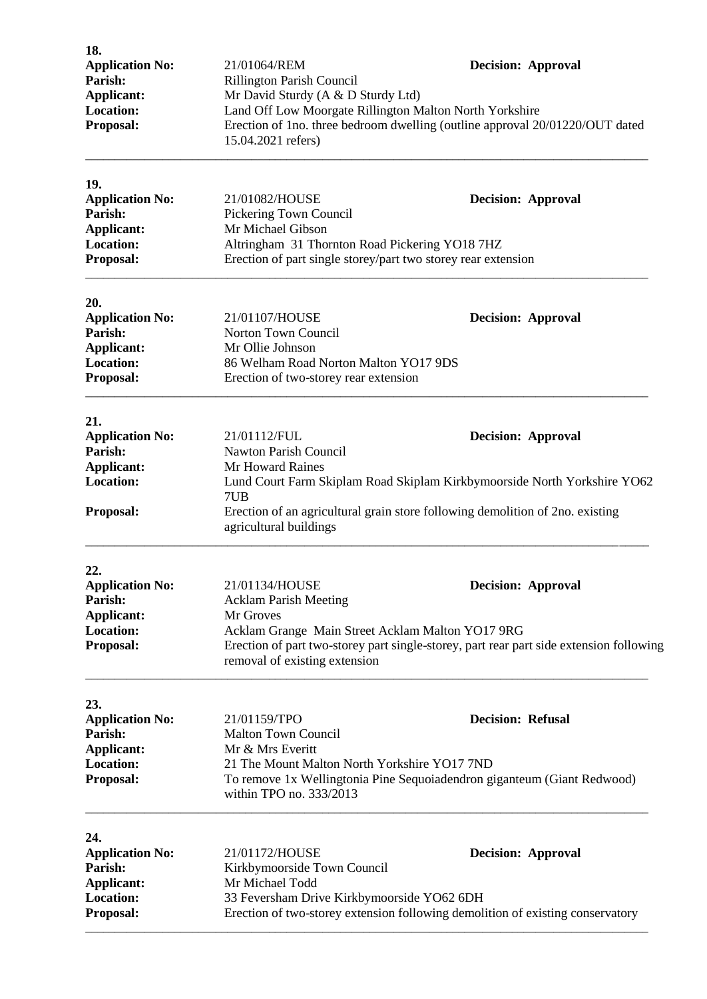| Applicant:<br><b>Location:</b>    | <b>Rillington Parish Council</b><br>Mr David Sturdy (A & D Sturdy Ltd)<br>Land Off Low Moorgate Rillington Malton North Yorkshire                                            |                          | <b>Decision: Approval</b> |
|-----------------------------------|------------------------------------------------------------------------------------------------------------------------------------------------------------------------------|--------------------------|---------------------------|
| Proposal:                         | Erection of 1no. three bedroom dwelling (outline approval 20/01220/OUT dated<br>15.04.2021 refers)                                                                           |                          |                           |
| 19.                               |                                                                                                                                                                              |                          |                           |
| <b>Application No:</b><br>Parish: | 21/01082/HOUSE<br>Pickering Town Council                                                                                                                                     |                          | <b>Decision: Approval</b> |
| <b>Applicant:</b>                 | Mr Michael Gibson                                                                                                                                                            |                          |                           |
| <b>Location:</b>                  | Altringham 31 Thornton Road Pickering YO18 7HZ                                                                                                                               |                          |                           |
| Proposal:                         | Erection of part single storey/part two storey rear extension                                                                                                                |                          |                           |
| 20.                               |                                                                                                                                                                              |                          |                           |
| <b>Application No:</b>            | 21/01107/HOUSE                                                                                                                                                               |                          | <b>Decision: Approval</b> |
| Parish:<br><b>Applicant:</b>      | Norton Town Council<br>Mr Ollie Johnson                                                                                                                                      |                          |                           |
| <b>Location:</b>                  | 86 Welham Road Norton Malton YO17 9DS                                                                                                                                        |                          |                           |
| Proposal:                         | Erection of two-storey rear extension                                                                                                                                        |                          |                           |
| 21.                               |                                                                                                                                                                              |                          |                           |
| <b>Application No:</b>            | 21/01112/FUL                                                                                                                                                                 |                          | <b>Decision: Approval</b> |
| Parish:<br><b>Applicant:</b>      | Nawton Parish Council<br>Mr Howard Raines                                                                                                                                    |                          |                           |
| <b>Location:</b>                  | Lund Court Farm Skiplam Road Skiplam Kirkbymoorside North Yorkshire YO62<br>7UB                                                                                              |                          |                           |
| Proposal:                         | Erection of an agricultural grain store following demolition of 2no. existing<br>agricultural buildings                                                                      |                          |                           |
| 22.                               |                                                                                                                                                                              |                          |                           |
| <b>Application No:</b>            | 21/01134/HOUSE                                                                                                                                                               |                          | <b>Decision: Approval</b> |
| Parish:                           | <b>Acklam Parish Meeting</b>                                                                                                                                                 |                          |                           |
| Applicant:<br><b>Location:</b>    | Mr Groves                                                                                                                                                                    |                          |                           |
| Proposal:                         | Acklam Grange Main Street Acklam Malton YO17 9RG<br>Erection of part two-storey part single-storey, part rear part side extension following<br>removal of existing extension |                          |                           |
| 23.                               |                                                                                                                                                                              |                          |                           |
| <b>Application No:</b><br>Parish: | 21/01159/TPO                                                                                                                                                                 | <b>Decision: Refusal</b> |                           |
| <b>Applicant:</b>                 | <b>Malton Town Council</b><br>Mr & Mrs Everitt                                                                                                                               |                          |                           |
| <b>Location:</b>                  | 21 The Mount Malton North Yorkshire YO17 7ND                                                                                                                                 |                          |                           |
| Proposal:                         | To remove 1x Wellingtonia Pine Sequoiadendron giganteum (Giant Redwood)<br>within TPO no. 333/2013                                                                           |                          |                           |
| 24.                               |                                                                                                                                                                              |                          |                           |
| <b>Application No:</b>            | 21/01172/HOUSE                                                                                                                                                               |                          | <b>Decision: Approval</b> |
| Parish:                           | Kirkbymoorside Town Council                                                                                                                                                  |                          |                           |
| Applicant:<br><b>Location:</b>    | Mr Michael Todd                                                                                                                                                              |                          |                           |
| Proposal:                         | 33 Feversham Drive Kirkbymoorside YO62 6DH<br>Erection of two-storey extension following demolition of existing conservatory                                                 |                          |                           |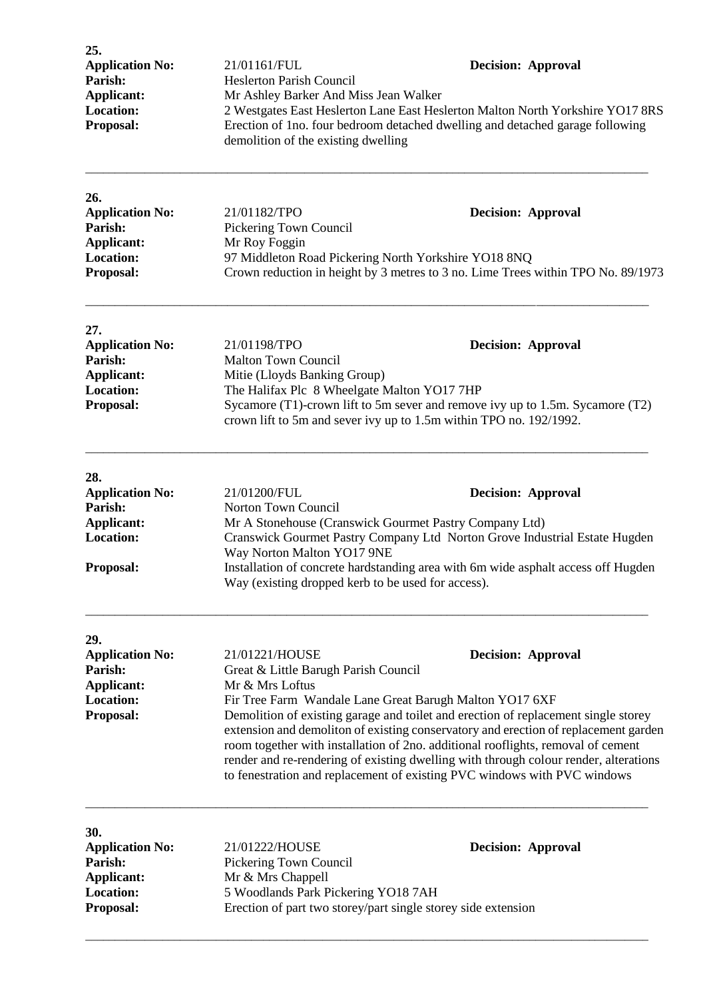| 25.<br><b>Application No:</b><br>Parish:<br>Applicant:<br>Location:<br>Proposal:               | 21/01161/FUL<br><b>Decision: Approval</b><br><b>Heslerton Parish Council</b><br>Mr Ashley Barker And Miss Jean Walker<br>2 Westgates East Heslerton Lane East Heslerton Malton North Yorkshire YO17 8RS<br>Erection of 1no. four bedroom detached dwelling and detached garage following<br>demolition of the existing dwelling                                                                                                                                                                                                                                                                        |  |
|------------------------------------------------------------------------------------------------|--------------------------------------------------------------------------------------------------------------------------------------------------------------------------------------------------------------------------------------------------------------------------------------------------------------------------------------------------------------------------------------------------------------------------------------------------------------------------------------------------------------------------------------------------------------------------------------------------------|--|
| 26.<br><b>Application No:</b><br>Parish:<br><b>Applicant:</b><br><b>Location:</b><br>Proposal: | 21/01182/TPO<br><b>Decision: Approval</b><br>Pickering Town Council<br>Mr Roy Foggin<br>97 Middleton Road Pickering North Yorkshire YO18 8NQ<br>Crown reduction in height by 3 metres to 3 no. Lime Trees within TPO No. 89/1973                                                                                                                                                                                                                                                                                                                                                                       |  |
| 27.<br><b>Application No:</b><br>Parish:<br><b>Applicant:</b><br><b>Location:</b><br>Proposal: | 21/01198/TPO<br><b>Decision: Approval</b><br><b>Malton Town Council</b><br>Mitie (Lloyds Banking Group)<br>The Halifax Plc 8 Wheelgate Malton YO17 7HP<br>Sycamore (T1)-crown lift to 5m sever and remove ivy up to 1.5m. Sycamore (T2)<br>crown lift to 5m and sever ivy up to 1.5m within TPO no. 192/1992.                                                                                                                                                                                                                                                                                          |  |
| 28.<br><b>Application No:</b><br>Parish:<br><b>Applicant:</b><br><b>Location:</b><br>Proposal: | 21/01200/FUL<br><b>Decision: Approval</b><br>Norton Town Council<br>Mr A Stonehouse (Cranswick Gourmet Pastry Company Ltd)<br>Cranswick Gourmet Pastry Company Ltd Norton Grove Industrial Estate Hugden<br>Way Norton Malton YO17 9NE<br>Installation of concrete hardstanding area with 6m wide asphalt access off Hugden<br>Way (existing dropped kerb to be used for access).                                                                                                                                                                                                                      |  |
| 29.<br><b>Application No:</b><br>Parish:<br><b>Applicant:</b><br><b>Location:</b><br>Proposal: | 21/01221/HOUSE<br><b>Decision: Approval</b><br>Great & Little Barugh Parish Council<br>Mr & Mrs Loftus<br>Fir Tree Farm Wandale Lane Great Barugh Malton YO17 6XF<br>Demolition of existing garage and toilet and erection of replacement single storey<br>extension and demoliton of existing conservatory and erection of replacement garden<br>room together with installation of 2no. additional rooflights, removal of cement<br>render and re-rendering of existing dwelling with through colour render, alterations<br>to fenestration and replacement of existing PVC windows with PVC windows |  |

| JV.                    |                                                               |                           |
|------------------------|---------------------------------------------------------------|---------------------------|
| <b>Application No:</b> | 21/01222/HOUSE                                                | <b>Decision: Approval</b> |
| <b>Parish:</b>         | Pickering Town Council                                        |                           |
| Applicant:             | Mr & Mrs Chappell                                             |                           |
| <b>Location:</b>       | 5 Woodlands Park Pickering YO18 7AH                           |                           |
| <b>Proposal:</b>       | Erection of part two storey/part single storey side extension |                           |
|                        |                                                               |                           |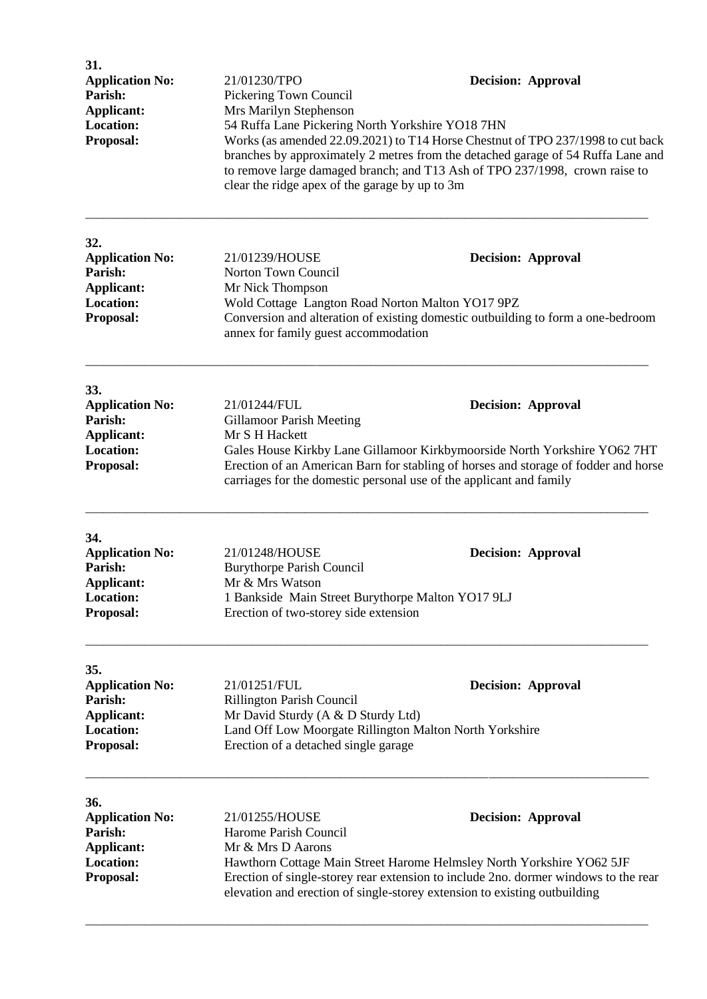| 31.<br><b>Application No:</b><br>Parish:<br><b>Applicant:</b><br><b>Location:</b><br>Proposal: | 21/01230/TPO<br>Pickering Town Council<br>Mrs Marilyn Stephenson<br>54 Ruffa Lane Pickering North Yorkshire YO18 7HN<br>clear the ridge apex of the garage by up to 3m                                                                                                                                                                 | <b>Decision: Approval</b><br>Works (as amended 22.09.2021) to T14 Horse Chestnut of TPO 237/1998 to cut back<br>branches by approximately 2 metres from the detached garage of 54 Ruffa Lane and<br>to remove large damaged branch; and T13 Ash of TPO 237/1998, crown raise to |
|------------------------------------------------------------------------------------------------|----------------------------------------------------------------------------------------------------------------------------------------------------------------------------------------------------------------------------------------------------------------------------------------------------------------------------------------|---------------------------------------------------------------------------------------------------------------------------------------------------------------------------------------------------------------------------------------------------------------------------------|
| 32.<br><b>Application No:</b><br>Parish:<br>Applicant:<br><b>Location:</b><br>Proposal:        | 21/01239/HOUSE<br>Norton Town Council<br>Mr Nick Thompson<br>Wold Cottage Langton Road Norton Malton YO17 9PZ<br>annex for family guest accommodation                                                                                                                                                                                  | <b>Decision: Approval</b><br>Conversion and alteration of existing domestic outbuilding to form a one-bedroom                                                                                                                                                                   |
| 33.<br><b>Application No:</b><br>Parish:<br><b>Applicant:</b><br><b>Location:</b><br>Proposal: | 21/01244/FUL<br><b>Gillamoor Parish Meeting</b><br>Mr S H Hackett                                                                                                                                                                                                                                                                      | <b>Decision: Approval</b><br>Gales House Kirkby Lane Gillamoor Kirkbymoorside North Yorkshire YO62 7HT<br>Erection of an American Barn for stabling of horses and storage of fodder and horse<br>carriages for the domestic personal use of the applicant and family            |
| 34.<br><b>Application No:</b><br>Parish:<br>Applicant:<br>Location:<br>Proposal:               | 21/01248/HOUSE<br><b>Burythorpe Parish Council</b><br>Mr & Mrs Watson<br>1 Bankside Main Street Burythorpe Malton YO17 9LJ<br>Erection of two-storey side extension                                                                                                                                                                    | <b>Decision: Approval</b>                                                                                                                                                                                                                                                       |
| 35.<br><b>Application No:</b><br>Parish:<br><b>Applicant:</b><br><b>Location:</b><br>Proposal: | 21/01251/FUL<br>Rillington Parish Council<br>Mr David Sturdy (A & D Sturdy Ltd)<br>Land Off Low Moorgate Rillington Malton North Yorkshire<br>Erection of a detached single garage                                                                                                                                                     | <b>Decision: Approval</b>                                                                                                                                                                                                                                                       |
| 36.<br><b>Application No:</b><br>Parish:<br><b>Applicant:</b><br><b>Location:</b><br>Proposal: | 21/01255/HOUSE<br><b>Decision: Approval</b><br>Harome Parish Council<br>Mr & Mrs D Aarons<br>Hawthorn Cottage Main Street Harome Helmsley North Yorkshire YO62 5JF<br>Erection of single-storey rear extension to include 2no. dormer windows to the rear<br>elevation and erection of single-storey extension to existing outbuilding |                                                                                                                                                                                                                                                                                 |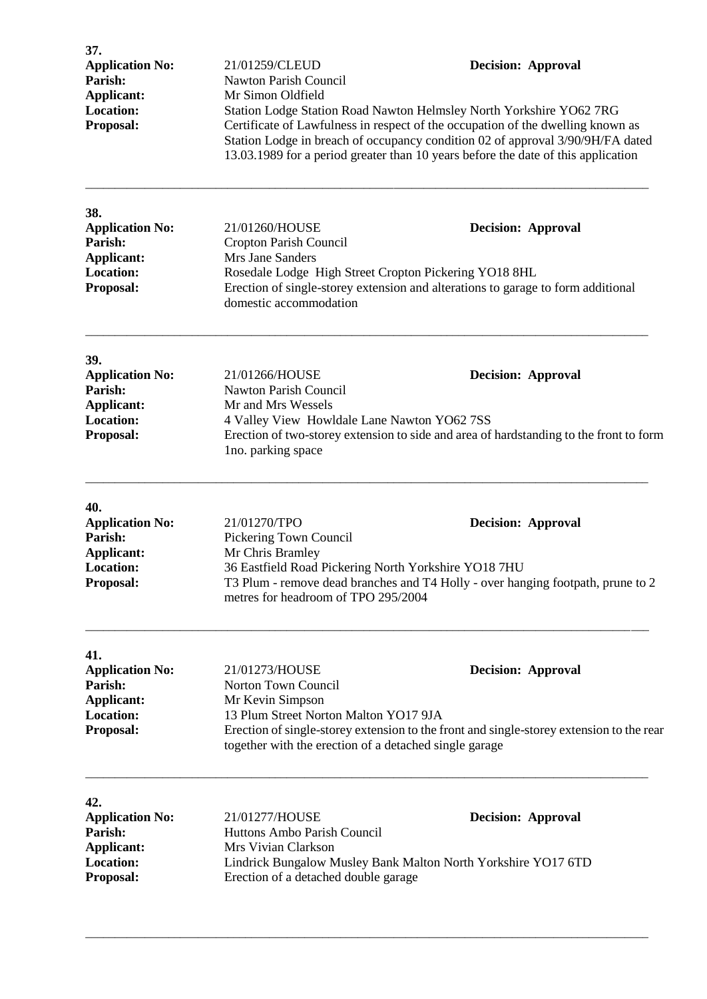| 37.<br><b>Application No:</b><br>Parish:<br><b>Applicant:</b><br><b>Location:</b><br>Proposal: | 21/01259/CLEUD<br><b>Nawton Parish Council</b><br>Mr Simon Oldfield                                                                                          | <b>Decision: Approval</b><br>Station Lodge Station Road Nawton Helmsley North Yorkshire YO62 7RG<br>Certificate of Lawfulness in respect of the occupation of the dwelling known as<br>Station Lodge in breach of occupancy condition 02 of approval 3/90/9H/FA dated<br>13.03.1989 for a period greater than 10 years before the date of this application |
|------------------------------------------------------------------------------------------------|--------------------------------------------------------------------------------------------------------------------------------------------------------------|------------------------------------------------------------------------------------------------------------------------------------------------------------------------------------------------------------------------------------------------------------------------------------------------------------------------------------------------------------|
| 38.<br><b>Application No:</b><br>Parish:<br><b>Applicant:</b><br><b>Location:</b><br>Proposal: | 21/01260/HOUSE<br>Cropton Parish Council<br>Mrs Jane Sanders<br>Rosedale Lodge High Street Cropton Pickering YO18 8HL<br>domestic accommodation              | <b>Decision: Approval</b><br>Erection of single-storey extension and alterations to garage to form additional                                                                                                                                                                                                                                              |
| 39.<br><b>Application No:</b><br>Parish:<br><b>Applicant:</b><br><b>Location:</b><br>Proposal: | 21/01266/HOUSE<br>Nawton Parish Council<br>Mr and Mrs Wessels<br>4 Valley View Howldale Lane Nawton YO62 7SS<br>lno. parking space                           | <b>Decision: Approval</b><br>Erection of two-storey extension to side and area of hardstanding to the front to form                                                                                                                                                                                                                                        |
| 40.<br><b>Application No:</b><br>Parish:<br><b>Applicant:</b><br><b>Location:</b><br>Proposal: | 21/01270/TPO<br>Pickering Town Council<br>Mr Chris Bramley<br>36 Eastfield Road Pickering North Yorkshire YO18 7HU<br>metres for headroom of TPO 295/2004    | <b>Decision: Approval</b><br>T3 Plum - remove dead branches and T4 Holly - over hanging footpath, prune to 2                                                                                                                                                                                                                                               |
| 41.<br><b>Application No:</b><br>Parish:<br>Applicant:<br><b>Location:</b><br>Proposal:        | 21/01273/HOUSE<br>Norton Town Council<br>Mr Kevin Simpson<br>13 Plum Street Norton Malton YO17 9JA<br>together with the erection of a detached single garage | <b>Decision: Approval</b><br>Erection of single-storey extension to the front and single-storey extension to the rear                                                                                                                                                                                                                                      |
| 42.<br><b>Application No:</b><br>Parish:<br><b>Applicant:</b><br><b>Location:</b><br>Proposal: | 21/01277/HOUSE<br>Huttons Ambo Parish Council<br>Mrs Vivian Clarkson<br>Erection of a detached double garage                                                 | <b>Decision: Approval</b><br>Lindrick Bungalow Musley Bank Malton North Yorkshire YO17 6TD                                                                                                                                                                                                                                                                 |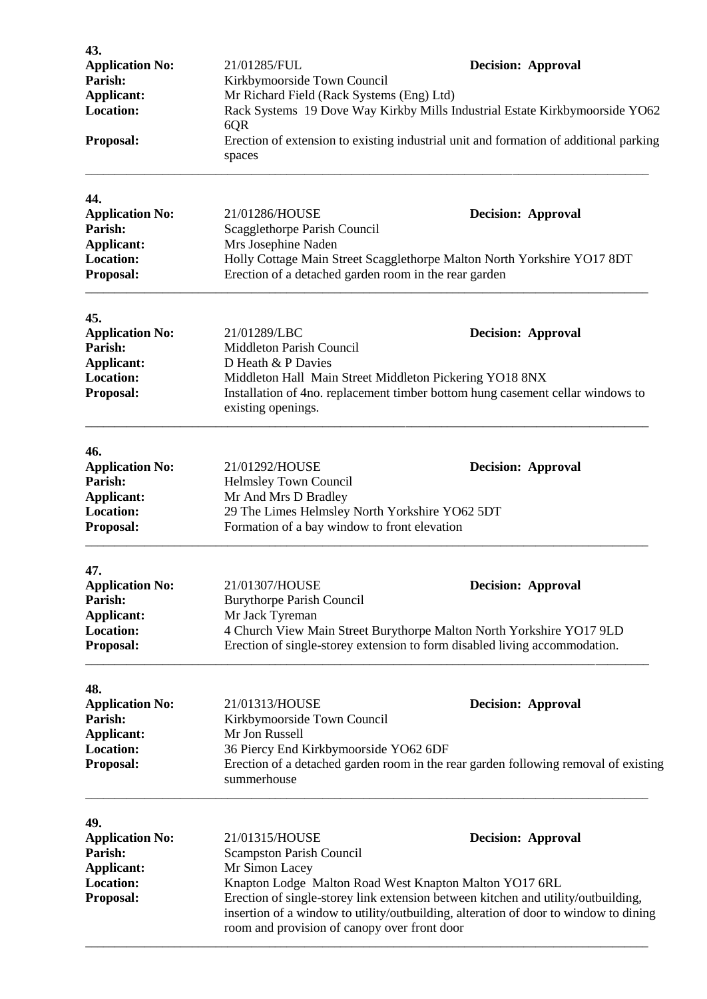| 43.<br><b>Application No:</b><br>Parish:<br>Applicant:<br><b>Location:</b>                     | 21/01285/FUL<br>Kirkbymoorside Town Council<br>Mr Richard Field (Rack Systems (Eng) Ltd)<br>6QR                                                                                                                                                                                                                                                                                         | <b>Decision: Approval</b><br>Rack Systems 19 Dove Way Kirkby Mills Industrial Estate Kirkbymoorside YO62                                                                        |  |
|------------------------------------------------------------------------------------------------|-----------------------------------------------------------------------------------------------------------------------------------------------------------------------------------------------------------------------------------------------------------------------------------------------------------------------------------------------------------------------------------------|---------------------------------------------------------------------------------------------------------------------------------------------------------------------------------|--|
| Proposal:                                                                                      | spaces                                                                                                                                                                                                                                                                                                                                                                                  | Erection of extension to existing industrial unit and formation of additional parking                                                                                           |  |
| 44.<br><b>Application No:</b><br>Parish:<br>Applicant:<br><b>Location:</b><br>Proposal:        | 21/01286/HOUSE<br>Scagglethorpe Parish Council<br>Mrs Josephine Naden<br>Erection of a detached garden room in the rear garden                                                                                                                                                                                                                                                          | <b>Decision: Approval</b><br>Holly Cottage Main Street Scagglethorpe Malton North Yorkshire YO17 8DT                                                                            |  |
| 45.<br><b>Application No:</b><br>Parish:<br>Applicant:<br><b>Location:</b><br>Proposal:        | 21/01289/LBC<br><b>Decision: Approval</b><br>Middleton Parish Council<br>D Heath & P Davies<br>Middleton Hall Main Street Middleton Pickering YO18 8NX<br>Installation of 4no. replacement timber bottom hung casement cellar windows to<br>existing openings.                                                                                                                          |                                                                                                                                                                                 |  |
| 46.<br><b>Application No:</b><br>Parish:<br>Applicant:<br><b>Location:</b><br>Proposal:        | 21/01292/HOUSE<br>Helmsley Town Council<br>Mr And Mrs D Bradley<br>29 The Limes Helmsley North Yorkshire YO62 5DT<br>Formation of a bay window to front elevation                                                                                                                                                                                                                       | <b>Decision: Approval</b>                                                                                                                                                       |  |
| 47.<br><b>Application No:</b><br>Parish:<br>Applicant:<br><b>Location:</b><br>Proposal:        | 21/01307/HOUSE<br><b>Burythorpe Parish Council</b><br>Mr Jack Tyreman                                                                                                                                                                                                                                                                                                                   | <b>Decision: Approval</b><br>4 Church View Main Street Burythorpe Malton North Yorkshire YO17 9LD<br>Erection of single-storey extension to form disabled living accommodation. |  |
| 48.<br><b>Application No:</b><br>Parish:<br><b>Applicant:</b><br><b>Location:</b><br>Proposal: | 21/01313/HOUSE<br>Kirkbymoorside Town Council<br>Mr Jon Russell<br>36 Piercy End Kirkbymoorside YO62 6DF<br>summerhouse                                                                                                                                                                                                                                                                 | <b>Decision: Approval</b><br>Erection of a detached garden room in the rear garden following removal of existing                                                                |  |
| 49.<br><b>Application No:</b><br>Parish:<br>Applicant:<br><b>Location:</b><br>Proposal:        | 21/01315/HOUSE<br><b>Decision: Approval</b><br><b>Scampston Parish Council</b><br>Mr Simon Lacey<br>Knapton Lodge Malton Road West Knapton Malton YO17 6RL<br>Erection of single-storey link extension between kitchen and utility/outbuilding,<br>insertion of a window to utility/outbuilding, alteration of door to window to dining<br>room and provision of canopy over front door |                                                                                                                                                                                 |  |